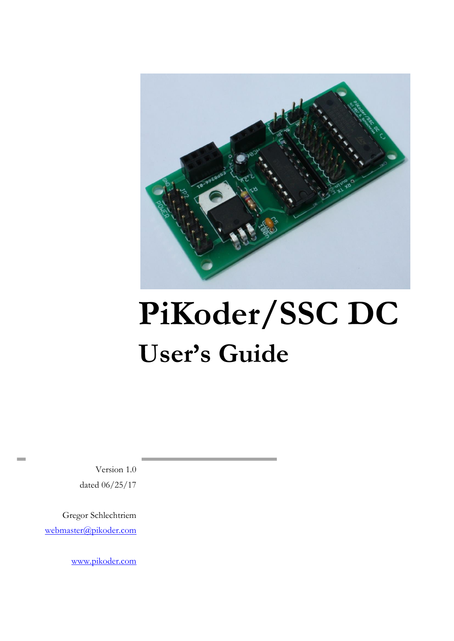

### **PiKoder/SSC DC User's Guide**

Version 1.0 dated 06/25/17

Gregor Schlechtriem [webmaster@pikoder.com](mailto:webmaster@pikoder.com)

[www.pikoder.com](http://www.pikoder.com/)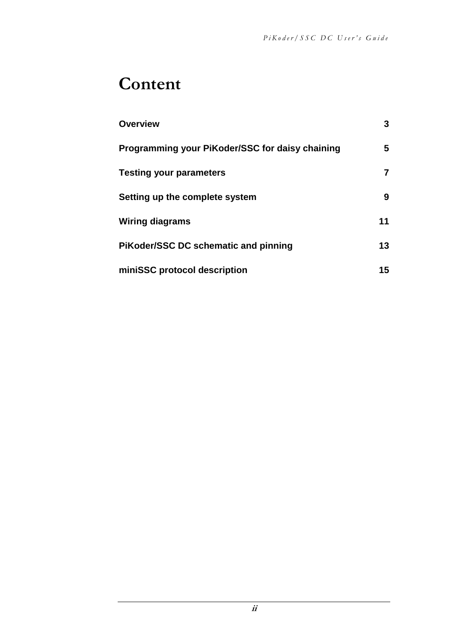#### **Content**

| <b>Overview</b>                                 | 3  |
|-------------------------------------------------|----|
| Programming your PiKoder/SSC for daisy chaining | 5  |
| <b>Testing your parameters</b>                  |    |
| Setting up the complete system                  | 9  |
| <b>Wiring diagrams</b>                          | 11 |
| PiKoder/SSC DC schematic and pinning            | 13 |
| miniSSC protocol description                    | 15 |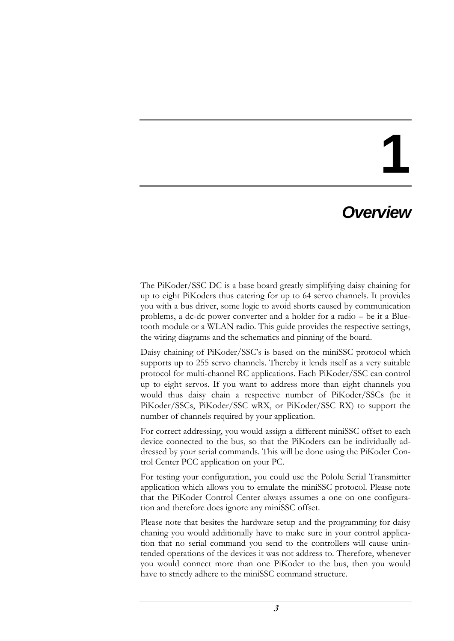# **1**

#### *Overview*

The PiKoder/SSC DC is a base board greatly simplifying daisy chaining for up to eight PiKoders thus catering for up to 64 servo channels. It provides you with a bus driver, some logic to avoid shorts caused by communication problems, a dc-dc power converter and a holder for a radio – be it a Bluetooth module or a WLAN radio. This guide provides the respective settings, the wiring diagrams and the schematics and pinning of the board.

Daisy chaining of PiKoder/SSC's is based on the miniSSC protocol which supports up to 255 servo channels. Thereby it lends itself as a very suitable protocol for multi-channel RC applications. Each PiKoder/SSC can control up to eight servos. If you want to address more than eight channels you would thus daisy chain a respective number of PiKoder/SSCs (be it PiKoder/SSCs, PiKoder/SSC wRX, or PiKoder/SSC RX) to support the number of channels required by your application.

For correct addressing, you would assign a different miniSSC offset to each device connected to the bus, so that the PiKoders can be individually addressed by your serial commands. This will be done using the PiKoder Control Center PCC application on your PC.

For testing your configuration, you could use the Pololu Serial Transmitter application which allows you to emulate the miniSSC protocol. Please note that the PiKoder Control Center always assumes a one on one configuration and therefore does ignore any miniSSC offset.

Please note that besites the hardware setup and the programming for daisy chaning you would additionally have to make sure in your control application that no serial command you send to the controllers will cause unintended operations of the devices it was not address to. Therefore, whenever you would connect more than one PiKoder to the bus, then you would have to strictly adhere to the miniSSC command structure.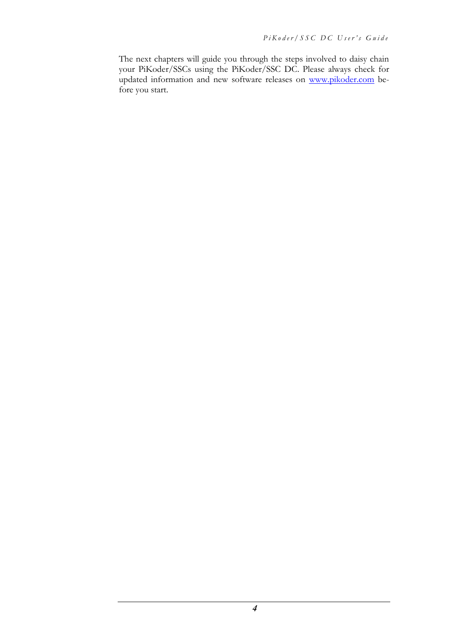The next chapters will guide you through the steps involved to daisy chain your PiKoder/SSCs using the PiKoder/SSC DC. Please always check for updated information and new software releases on [www.pikoder.com](http://www.pikoder.com/) before you start.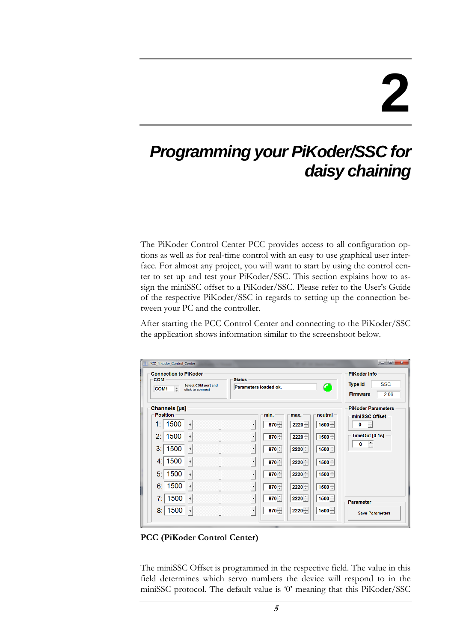### **2**

#### *Programming your PiKoder/SSC for daisy chaining*

The PiKoder Control Center PCC provides access to all configuration options as well as for real-time control with an easy to use graphical user interface. For almost any project, you will want to start by using the control center to set up and test your PiKoder/SSC. This section explains how to assign the miniSSC offset to a PiKoder/SSC. Please refer to the User's Guide of the respective PiKoder/SSC in regards to setting up the connection between your PC and the controller.

After starting the PCC Control Center and connecting to the PiKoder/SSC the application shows information similar to the screenshoot below.

| <b>PCC PiKoder Control Center</b>                                                                                      |                                        | œ                                                         | $\overline{\mathbf{x}}$<br>-0 |
|------------------------------------------------------------------------------------------------------------------------|----------------------------------------|-----------------------------------------------------------|-------------------------------|
| <b>Connection to PiKoder</b><br><b>COM</b><br>Select COM port and<br>COM <sub>1</sub><br>$\hat{=}$<br>click to connect | <b>Status</b><br>Parameters loaded ok. | <b>PiKoder Info</b><br><b>SSC</b><br><b>Type Id</b><br>r. |                               |
|                                                                                                                        |                                        | 2.06<br><b>Firmware</b>                                   |                               |
| <b>Channels</b> [µs]<br><b>Position</b>                                                                                | min.<br>max.                           | <b>PiKoder Parameters</b><br>neutral<br>miniSSC Offset    |                               |
| 1500<br>1:<br>$\blacktriangleleft$                                                                                     | $870 -$<br>$2220 -$<br>▶               | ÷<br>$1500 -$<br>0                                        |                               |
| 2:<br>1500                                                                                                             | $870 -$<br>$2220 -$<br>٠               | TimeOut [0.1s]<br>$1500 -$                                |                               |
| 3:<br>1500<br>۰                                                                                                        | $870 -$<br>$2220 -$<br>٠               | $\mathbf{0}$<br>÷<br>$1500 -$                             |                               |
| 1500<br>41<br>$\blacktriangleleft$                                                                                     | $870 -$<br>$2220 -$<br>١               | $1500 -$                                                  |                               |
| 1500<br>5:<br>$\blacktriangleleft$                                                                                     | $870 -$<br>$2220 -$<br>×.              | $1500 -$                                                  |                               |
| 1500<br>6:                                                                                                             | $870 -$<br>$2220 -$<br>▶               | $1500 -$                                                  |                               |
| 1500<br>7:                                                                                                             | $2220 -$<br>$870 -$<br>۰               | $1500 -$<br><b>Parameter</b>                              |                               |
| 1500<br>8:                                                                                                             | $870 -$<br>$2220 -$<br>٠               | $1500 -$<br><b>Save Parameters</b>                        |                               |

**PCC (PiKoder Control Center)**

The miniSSC Offset is programmed in the respective field. The value in this field determines which servo numbers the device will respond to in the miniSSC protocol. The default value is '0' meaning that this PiKoder/SSC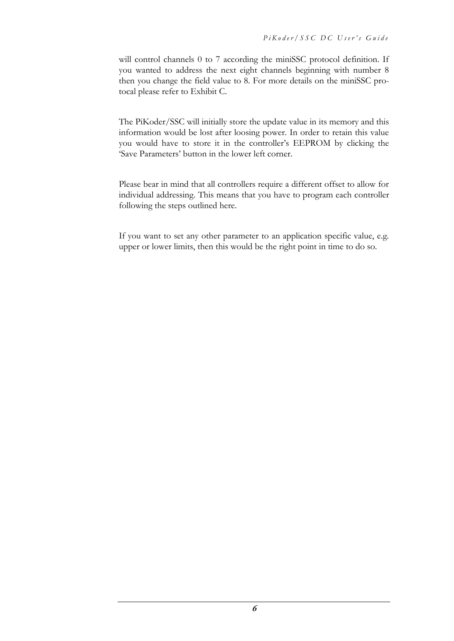will control channels 0 to 7 according the miniSSC protocol definition. If you wanted to address the next eight channels beginning with number 8 then you change the field value to 8. For more details on the miniSSC protocal please refer to Exhibit C.

The PiKoder/SSC will initially store the update value in its memory and this information would be lost after loosing power. In order to retain this value you would have to store it in the controller's EEPROM by clicking the 'Save Parameters' button in the lower left corner.

Please bear in mind that all controllers require a different offset to allow for individual addressing. This means that you have to program each controller following the steps outlined here.

If you want to set any other parameter to an application specific value, e.g. upper or lower limits, then this would be the right point in time to do so.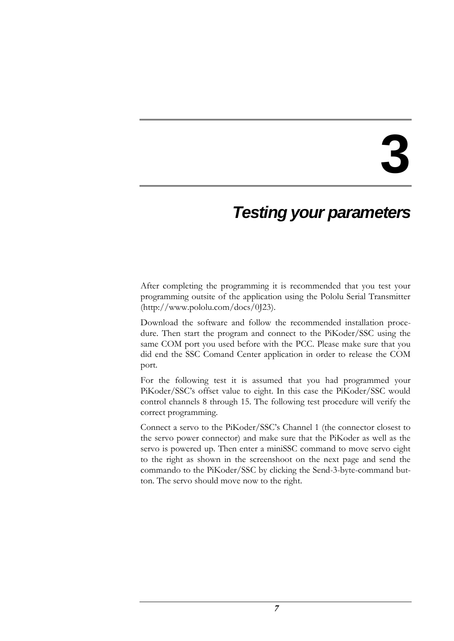#### *Testing your parameters*

After completing the programming it is recommended that you test your programming outsite of the application using the Pololu Serial Transmitter (http://www.pololu.com/docs/0J23).

Download the software and follow the recommended installation procedure. Then start the program and connect to the PiKoder/SSC using the same COM port you used before with the PCC. Please make sure that you did end the SSC Comand Center application in order to release the COM port.

For the following test it is assumed that you had programmed your PiKoder/SSC's offset value to eight. In this case the PiKoder/SSC would control channels 8 through 15. The following test procedure will verify the correct programming.

Connect a servo to the PiKoder/SSC's Channel 1 (the connector closest to the servo power connector) and make sure that the PiKoder as well as the servo is powered up. Then enter a miniSSC command to move servo eight to the right as shown in the screenshoot on the next page and send the commando to the PiKoder/SSC by clicking the Send-3-byte-command button. The servo should move now to the right.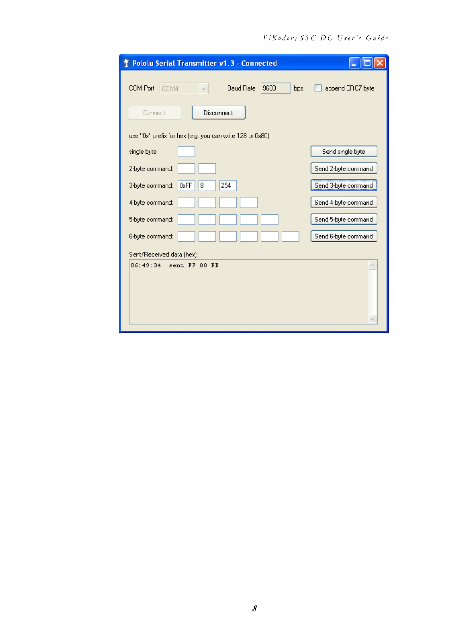| <b>Pololu Serial Transmitter v1.3 - Connected</b>        |                     |
|----------------------------------------------------------|---------------------|
| 9600<br>COM Port<br><b>Baud Rate</b><br>COM4<br>bps      | append CRC7 byte    |
| Disconnect<br>Connect                                    |                     |
| use "0x" prefix for hex (e.g. you can write 128 or 0x80) |                     |
| single byte:                                             | Send single byte    |
| 2-byte command:                                          | Send 2-byte command |
| 0xFF<br>3-byte command:<br>8<br>254                      | Send 3-byte command |
| 4-byte command:                                          | Send 4-byte command |
| 5-byte command:                                          | Send 5-byte command |
| 6-byte command:                                          | Send 6-byte command |
| Sent/Received data (hex):                                |                     |
| 06:49:34<br>sent FF 08 FE                                |                     |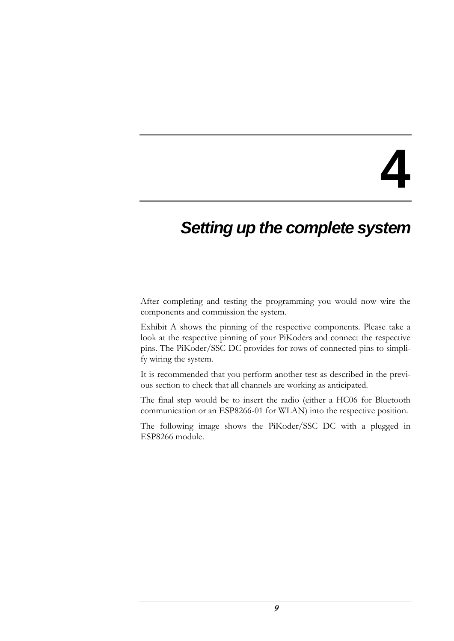**4**

#### *Setting up the complete system*

After completing and testing the programming you would now wire the components and commission the system.

Exhibit A shows the pinning of the respective components. Please take a look at the respective pinning of your PiKoders and connect the respective pins. The PiKoder/SSC DC provides for rows of connected pins to simplify wiring the system.

It is recommended that you perform another test as described in the previous section to check that all channels are working as anticipated.

The final step would be to insert the radio (either a HC06 for Bluetooth communication or an ESP8266-01 for WLAN) into the respective position.

The following image shows the PiKoder/SSC DC with a plugged in ESP8266 module.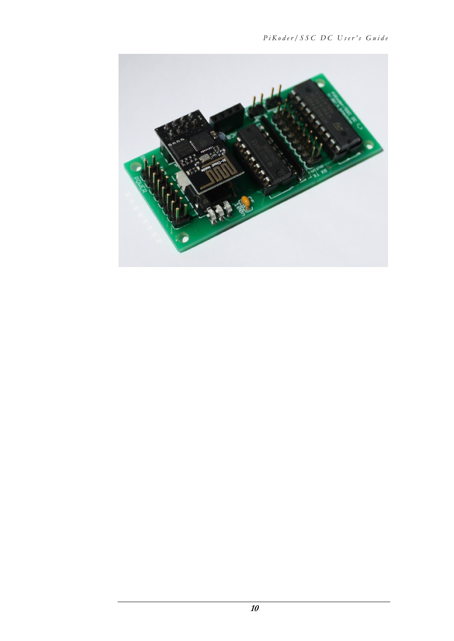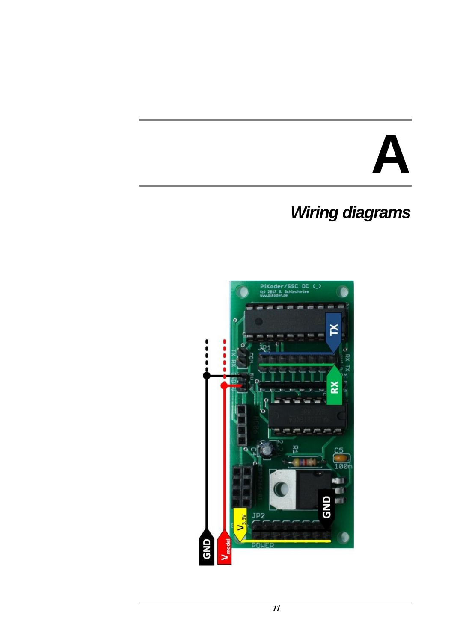

### **Wiring diagrams**

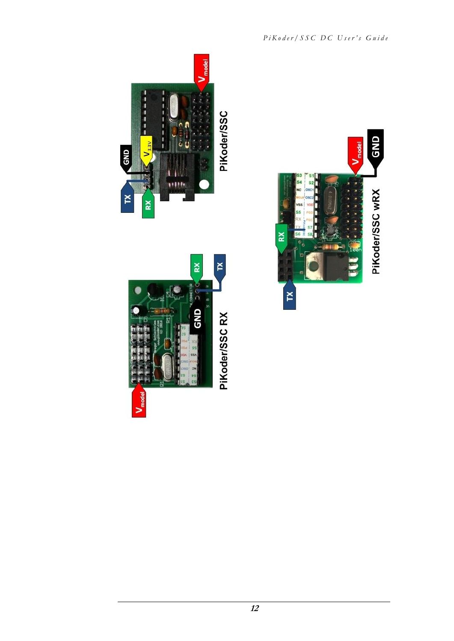

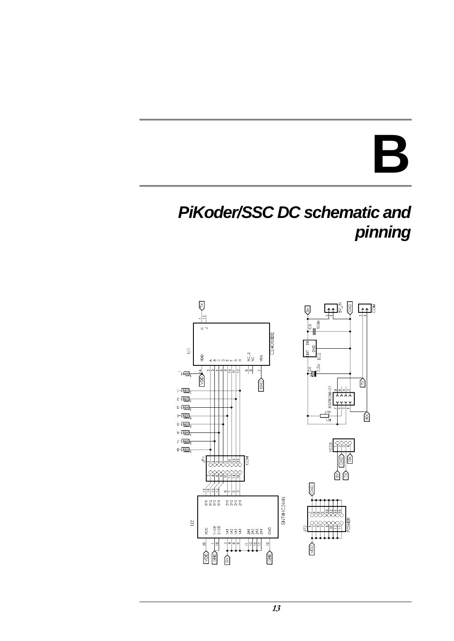### **B**

#### *PiKoder/SSC DC schematic and pinning*

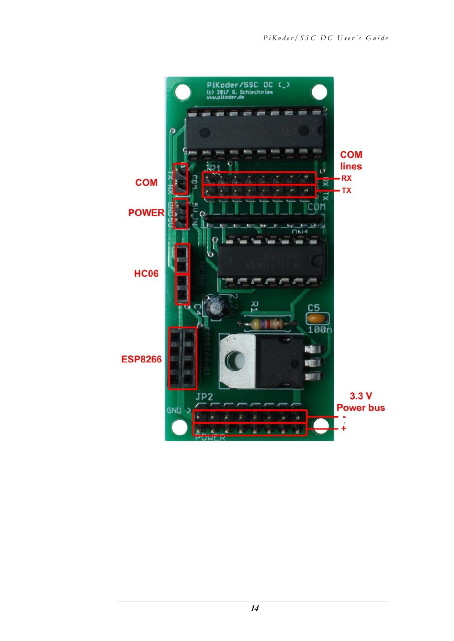